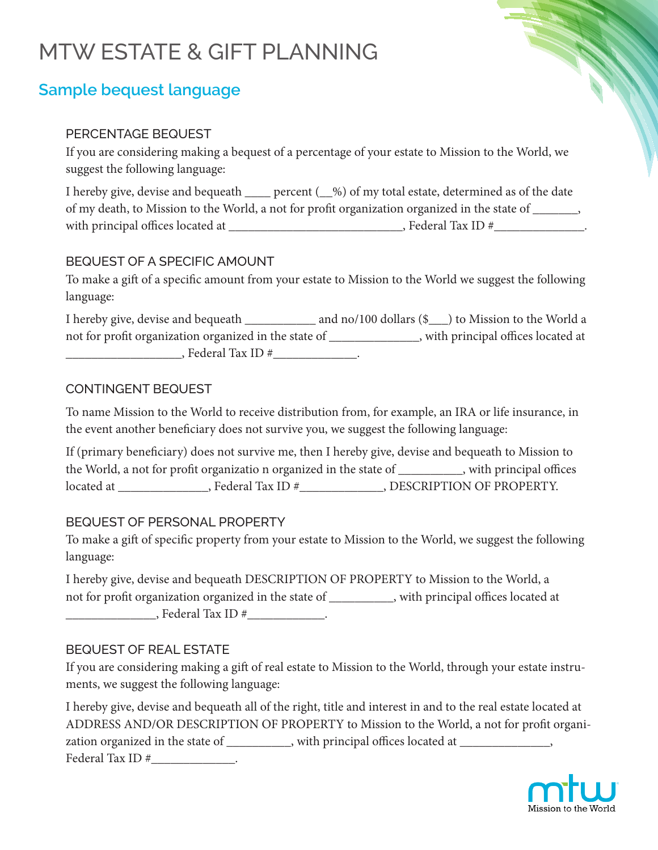# MTW ESTATE & GIFT PLANNING

# **Sample bequest language**

#### PERCENTAGE BEQUEST

If you are considering making a bequest of a percentage of your estate to Mission to the World, we suggest the following language:

I hereby give, devise and bequeath \_\_\_\_ percent ( $\_\%$ ) of my total estate, determined as of the date of my death, to Mission to the World, a not for profit organization organized in the state of \_\_\_\_\_\_\_, with principal offices located at \_\_\_\_\_\_\_\_\_\_\_\_\_\_\_\_\_\_\_\_\_\_\_\_\_\_\_, Federal Tax ID #\_\_\_\_\_\_\_\_\_\_\_\_\_\_.

## BEQUEST OF A SPECIFIC AMOUNT

To make a gift of a specific amount from your estate to Mission to the World we suggest the following language:

I hereby give, devise and bequeath \_\_\_\_\_\_\_\_\_\_\_\_ and no/100 dollars (\$\_\_\_) to Mission to the World a not for profit organization organized in the state of \_\_\_\_\_\_\_\_\_\_\_\_\_\_, with principal offices located at \_\_\_\_\_\_\_\_\_\_\_\_\_\_\_\_\_\_, Federal Tax ID #\_\_\_\_\_\_\_\_\_\_\_\_\_.

#### CONTINGENT BEQUEST

To name Mission to the World to receive distribution from, for example, an IRA or life insurance, in the event another beneficiary does not survive you, we suggest the following language:

If (primary beneficiary) does not survive me, then I hereby give, devise and bequeath to Mission to the World, a not for profit organizatio n organized in the state of \_\_\_\_\_\_\_\_\_\_, with principal offices located at \_\_\_\_\_\_\_\_\_\_\_\_\_\_, Federal Tax ID #\_\_\_\_\_\_\_\_\_\_\_\_\_, DESCRIPTION OF PROPERTY.

## BEQUEST OF PERSONAL PROPERTY

To make a gift of specific property from your estate to Mission to the World, we suggest the following language:

I hereby give, devise and bequeath DESCRIPTION OF PROPERTY to Mission to the World, a not for profit organization organized in the state of \_\_\_\_\_\_\_\_\_\_, with principal offices located at \_\_\_\_\_\_\_\_\_\_\_\_\_\_, Federal Tax ID #\_\_\_\_\_\_\_\_\_\_\_\_.

#### BEQUEST OF REAL ESTATE

If you are considering making a gift of real estate to Mission to the World, through your estate instruments, we suggest the following language:

I hereby give, devise and bequeath all of the right, title and interest in and to the real estate located at ADDRESS AND/OR DESCRIPTION OF PROPERTY to Mission to the World, a not for profit organization organized in the state of \_\_\_\_\_\_\_\_\_\_, with principal offices located at \_\_\_\_\_\_\_\_\_\_\_\_\_, Federal Tax ID #